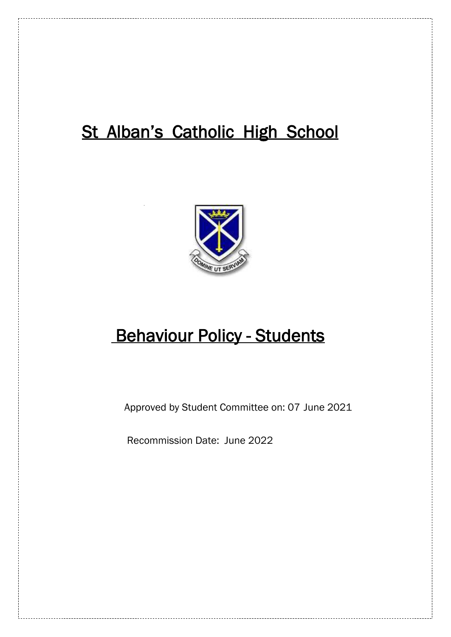# St Alban's Catholic High School



# **Behaviour Policy - Students**

Approved by Student Committee on: 07 June 2021

Recommission Date: June 2022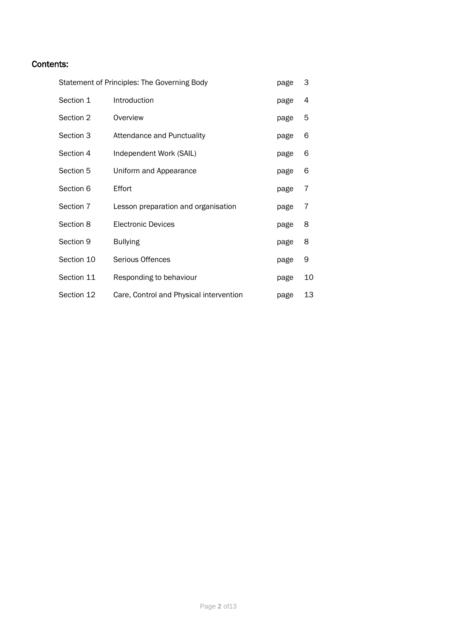# Contents:

| Statement of Principles: The Governing Body |                                         | page | 3  |
|---------------------------------------------|-----------------------------------------|------|----|
| Section 1                                   | Introduction                            | page | 4  |
| Section 2                                   | Overview                                | page | 5  |
| Section 3                                   | Attendance and Punctuality              | page | 6  |
| Section 4                                   | Independent Work (SAIL)                 | page | 6  |
| Section 5                                   | Uniform and Appearance                  | page | 6  |
| Section 6                                   | Effort                                  | page | 7  |
| Section 7                                   | Lesson preparation and organisation     | page | 7  |
| Section 8                                   | <b>Electronic Devices</b>               | page | 8  |
| Section 9                                   | <b>Bullying</b>                         | page | 8  |
| Section 10                                  | Serious Offences                        | page | 9  |
| Section 11                                  | Responding to behaviour                 | page | 10 |
| Section 12                                  | Care, Control and Physical intervention | page | 13 |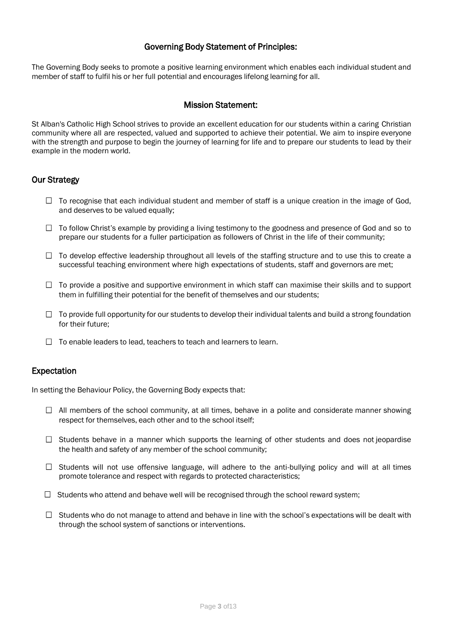## Governing Body Statement of Principles:

The Governing Body seeks to promote a positive learning environment which enables each individual student and member of staff to fulfil his or her full potential and encourages lifelong learning for all.

## Mission Statement:

St Alban's Catholic High School strives to provide an excellent education for our students within a caring Christian community where all are respected, valued and supported to achieve their potential. We aim to inspire everyone with the strength and purpose to begin the journey of learning for life and to prepare our students to lead by their example in the modern world.

## Our Strategy

- $\Box$  To recognise that each individual student and member of staff is a unique creation in the image of God, and deserves to be valued equally;
- $\Box$  To follow Christ's example by providing a living testimony to the goodness and presence of God and so to prepare our students for a fuller participation as followers of Christ in the life of their community;
- $\Box$  To develop effective leadership throughout all levels of the staffing structure and to use this to create a successful teaching environment where high expectations of students, staff and governors are met;
- $\Box$  To provide a positive and supportive environment in which staff can maximise their skills and to support them in fulfilling their potential for the benefit of themselves and our students;
- $\Box$  To provide full opportunity for our students to develop their individual talents and build a strong foundation for their future;
- $\Box$  To enable leaders to lead, teachers to teach and learners to learn.

## Expectation

In setting the Behaviour Policy, the Governing Body expects that:

- $\Box$  All members of the school community, at all times, behave in a polite and considerate manner showing respect for themselves, each other and to the school itself;
- $\Box$  Students behave in a manner which supports the learning of other students and does not jeopardise the health and safety of any member of the school community;
- $\Box$  Students will not use offensive language, will adhere to the anti-bullying policy and will at all times promote tolerance and respect with regards to protected characteristics;
- $\Box$  Students who attend and behave well will be recognised through the school reward system;
- $\Box$  Students who do not manage to attend and behave in line with the school's expectations will be dealt with through the school system of sanctions or interventions.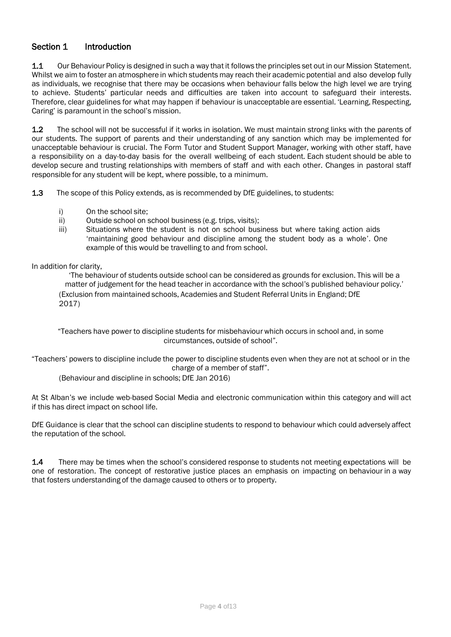## Section 1 Introduction

1.1 Our Behaviour Policy is designed in such a way that it follows the principles set out in our Mission Statement. Whilst we aim to foster an atmosphere in which students may reach their academic potential and also develop fully as individuals, we recognise that there may be occasions when behaviour falls below the high level we are trying to achieve. Students' particular needs and difficulties are taken into account to safeguard their interests. Therefore, clear guidelines for what may happen if behaviour is unacceptable are essential. 'Learning, Respecting, Caring' is paramount in the school's mission.

1.2 The school will not be successful if it works in isolation. We must maintain strong links with the parents of our students. The support of parents and their understanding of any sanction which may be implemented for unacceptable behaviour is crucial. The Form Tutor and Student Support Manager, working with other staff, have a responsibility on a day-to-day basis for the overall wellbeing of each student. Each student should be able to develop secure and trusting relationships with members of staff and with each other. Changes in pastoral staff responsible for any student will be kept, where possible, to a minimum.

1.3 The scope of this Policy extends, as is recommended by DfE guidelines, to students:

- i) On the school site;
- ii) Outside school on school business (e.g. trips, visits);
- iii) Situations where the student is not on school business but where taking action aids 'maintaining good behaviour and discipline among the student body as a whole'. One example of this would be travelling to and from school.

#### In addition for clarity,

'The behaviour of students outside school can be considered as grounds for exclusion. This will be a matter of judgement for the head teacher in accordance with the school's published behaviour policy.' (Exclusion from maintained schools, Academies and Student Referral Units in England; DfE 2017)

"Teachers have power to discipline students for misbehaviour which occurs in school and, in some circumstances, outside of school".

"Teachers' powers to discipline include the power to discipline students even when they are not at school or in the charge of a member of staff".

(Behaviour and discipline in schools; DfE Jan 2016)

At St Alban's we include web-based Social Media and electronic communication within this category and will act if this has direct impact on school life.

DfE Guidance is clear that the school can discipline students to respond to behaviour which could adversely affect the reputation of the school.

1.4 There may be times when the school's considered response to students not meeting expectations will be one of restoration. The concept of restorative justice places an emphasis on impacting on behaviour in a way that fosters understanding of the damage caused to others or to property.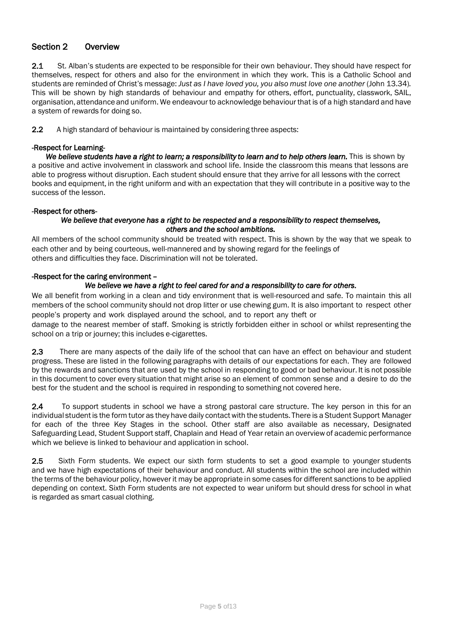## Section 2 Overview

2.1 St. Alban's students are expected to be responsible for their own behaviour. They should have respect for themselves, respect for others and also for the environment in which they work. This is a Catholic School and students are reminded of Christ's message: *Just as I have loved you, you also must love one another* (John 13.34)*.* This will be shown by high standards of behaviour and empathy for others, effort, punctuality, classwork, SAIL, organisation, attendance and uniform. We endeavour to acknowledge behaviour that is of a high standard and have a system of rewards for doing so.

2.2 A high standard of behaviour is maintained by considering three aspects:

#### -Respect for Learning-

We believe students have a right to learn; a responsibility to learn and to help others learn. This is shown by a positive and active involvement in classwork and school life. Inside the classroom this means that lessons are able to progress without disruption. Each student should ensure that they arrive for all lessons with the correct books and equipment, in the right uniform and with an expectation that they will contribute in a positive way to the success of the lesson.

#### -Respect for others-

#### *We believe that everyone has a right to be respected and a responsibility to respect themselves, others and the school ambitions.*

All members of the school community should be treated with respect. This is shown by the way that we speak to each other and by being courteous, well-mannered and by showing regard for the feelings of others and difficulties they face. Discrimination will not be tolerated.

#### -Respect for the caring environment –

#### *We believe we have a right to feel cared for and a responsibility to care for others.*

We all benefit from working in a clean and tidy environment that is well-resourced and safe. To maintain this all members of the school community should not drop litter or use chewing gum. It is also important to respect other people's property and work displayed around the school, and to report any theft or

damage to the nearest member of staff. Smoking is strictly forbidden either in school or whilst representing the school on a trip or journey; this includes e-cigarettes.

2.3 There are many aspects of the daily life of the school that can have an effect on behaviour and student progress. These are listed in the following paragraphs with details of our expectations for each. They are followed by the rewards and sanctions that are used by the school in responding to good or bad behaviour. It is not possible in this document to cover every situation that might arise so an element of common sense and a desire to do the best for the student and the school is required in responding to something not covered here.

2.4 To support students in school we have a strong pastoral care structure. The key person in this for an individual student is the form tutor as they have daily contact with the students. There is a Student Support Manager for each of the three Key Stages in the school. Other staff are also available as necessary, Designated Safeguarding Lead, Student Support staff, Chaplain and Head of Year retain an overview of academic performance which we believe is linked to behaviour and application in school.

2.5 Sixth Form students. We expect our sixth form students to set a good example to younger students and we have high expectations of their behaviour and conduct. All students within the school are included within the terms of the behaviour policy, however it may be appropriate in some cases for different sanctions to be applied depending on context. Sixth Form students are not expected to wear uniform but should dress for school in what is regarded as smart casual clothing.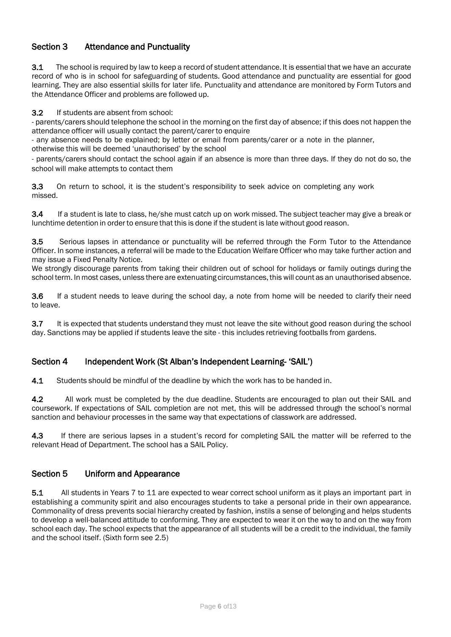# Section 3 Attendance and Punctuality

**3.1** The school is required by law to keep a record of student attendance. It is essential that we have an accurate record of who is in school for safeguarding of students. Good attendance and punctuality are essential for good learning. They are also essential skills for later life. Punctuality and attendance are monitored by Form Tutors and the Attendance Officer and problems are followed up.

3.2 If students are absent from school:

- parents/carers should telephone the school in the morning on the first day of absence; if this does not happen the attendance officer will usually contact the parent/carer to enquire

- any absence needs to be explained; by letter or email from parents/carer or a note in the planner, otherwise this will be deemed 'unauthorised' by the school

- parents/carers should contact the school again if an absence is more than three days. If they do not do so, the school will make attempts to contact them

3.3 On return to school, it is the student's responsibility to seek advice on completing any work missed.

3.4 If a student is late to class, he/she must catch up on work missed. The subject teacher may give a break or lunchtime detention in order to ensure that this is done if the student is late without good reason.

**3.5** Serious lapses in attendance or punctuality will be referred through the Form Tutor to the Attendance Officer. In some instances, a referral will be made to the Education Welfare Officer who may take further action and may issue a Fixed Penalty Notice.

We strongly discourage parents from taking their children out of school for holidays or family outings during the school term. In most cases, unless there are extenuating circumstances,this will count as an unauthorised absence.

3.6 If a student needs to leave during the school day, a note from home will be needed to clarify their need to leave.

3.7 It is expected that students understand they must not leave the site without good reason during the school day. Sanctions may be applied if students leave the site - this includes retrieving footballs from gardens.

## Section 4 Independent Work (St Alban's Independent Learning- 'SAIL')

**4.1** Students should be mindful of the deadline by which the work has to be handed in.

4.2 All work must be completed by the due deadline. Students are encouraged to plan out their SAIL and coursework. If expectations of SAIL completion are not met, this will be addressed through the school's normal sanction and behaviour processes in the same way that expectations of classwork are addressed.

4.3 If there are serious lapses in a student's record for completing SAIL the matter will be referred to the relevant Head of Department. The school has a SAIL Policy.

#### Section 5 Uniform and Appearance

5.1 All students in Years 7 to 11 are expected to wear correct school uniform as it plays an important part in establishing a community spirit and also encourages students to take a personal pride in their own appearance. Commonality of dress prevents social hierarchy created by fashion, instils a sense of belonging and helps students to develop a well-balanced attitude to conforming. They are expected to wear it on the way to and on the way from school each day. The school expects that the appearance of all students will be a credit to the individual, the family and the school itself. (Sixth form see 2.5)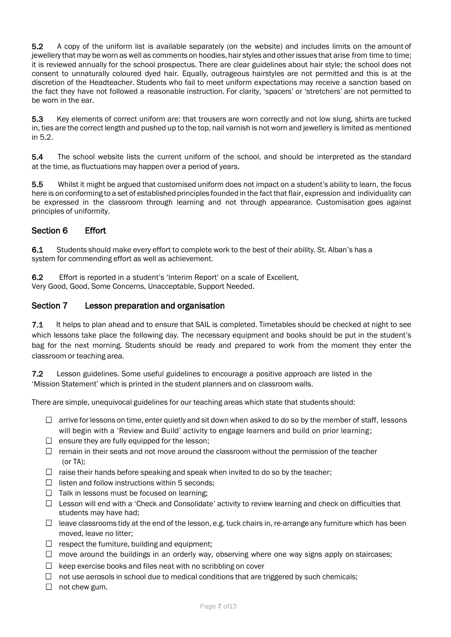5.2 A copy of the uniform list is available separately (on the website) and includes limits on the amount of jewellery that may be worn as well as comments on hoodies, hair styles and other issues that arise from time to time; it is reviewed annually for the school prospectus. There are clear guidelines about hair style; the school does not consent to unnaturally coloured dyed hair. Equally, outrageous hairstyles are not permitted and this is at the discretion of the Headteacher. Students who fail to meet uniform expectations may receive a sanction based on the fact they have not followed a reasonable instruction. For clarity, 'spacers' or 'stretchers' are not permitted to be worn in the ear.

5.3 Key elements of correct uniform are: that trousers are worn correctly and not low slung, shirts are tucked in, ties are the correct length and pushed up to the top, nail varnish is not worn and jewellery is limited as mentioned in 5.2.

5.4 The school website lists the current uniform of the school, and should be interpreted as the standard at the time, as fluctuations may happen over a period of years.

5.5 Whilst it might be argued that customised uniform does not impact on a student's ability to learn, the focus here is on conforming to a set of established principles founded in the fact that flair, expression and individuality can be expressed in the classroom through learning and not through appearance. Customisation goes against principles of uniformity.

# Section 6 Effort

6.1 Students should make every effort to complete work to the best of their ability. St. Alban's has a system for commending effort as well as achievement.

6.2 Effort is reported in a student's 'Interim Report' on a scale of Excellent, Very Good, Good, Some Concerns, Unacceptable, Support Needed.

## Section 7 Lesson preparation and organisation

7.1 It helps to plan ahead and to ensure that SAIL is completed. Timetables should be checked at night to see which lessons take place the following day. The necessary equipment and books should be put in the student's bag for the next morning. Students should be ready and prepared to work from the moment they enter the classroom or teaching area.

7.2 Lesson guidelines. Some useful guidelines to encourage a positive approach are listed in the 'Mission Statement' which is printed in the student planners and on classroom walls.

There are simple, unequivocal guidelines for our teaching areas which state that students should:

- $\Box$  arrive for lessons on time, enter quietly and sit down when asked to do so by the member of staff, lessons will begin with a 'Review and Build' activity to engage learners and build on prior learning;
- $\Box$  ensure they are fully equipped for the lesson;
- $\Box$  remain in their seats and not move around the classroom without the permission of the teacher (or TA);
- $\Box$  raise their hands before speaking and speak when invited to do so by the teacher;
- $\Box$  listen and follow instructions within 5 seconds;
- $\Box$  Talk in lessons must be focused on learning;
- $\Box$  Lesson will end with a 'Check and Consolidate' activity to review learning and check on difficulties that students may have had;
- $\Box$  leave classrooms tidy at the end of the lesson, e.g. tuck chairs in, re-arrange any furniture which has been moved, leave no litter;
- $\Box$  respect the furniture, building and equipment;
- $\Box$  move around the buildings in an orderly way, observing where one way signs apply on staircases;
- $\Box$ keep exercise books and files neat with no scribbling on cover
- $\Box$  not use aerosols in school due to medical conditions that are triggered by such chemicals;
- $\Box$  not chew gum.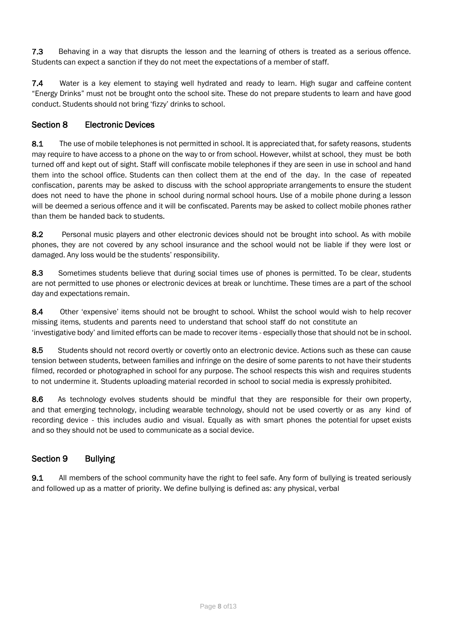7.3 Behaving in a way that disrupts the lesson and the learning of others is treated as a serious offence. Students can expect a sanction if they do not meet the expectations of a member of staff.

7.4 Water is a key element to staying well hydrated and ready to learn. High sugar and caffeine content "Energy Drinks" must not be brought onto the school site. These do not prepare students to learn and have good conduct. Students should not bring 'fizzy' drinks to school.

# Section 8 Electronic Devices

8.1 The use of mobile telephones is not permitted in school. It is appreciated that, for safety reasons, students may require to have access to a phone on the way to or from school. However, whilst at school, they must be both turned off and kept out of sight. Staff will confiscate mobile telephones if they are seen in use in school and hand them into the school office. Students can then collect them at the end of the day. In the case of repeated confiscation, parents may be asked to discuss with the school appropriate arrangements to ensure the student does not need to have the phone in school during normal school hours. Use of a mobile phone during a lesson will be deemed a serious offence and it will be confiscated. Parents may be asked to collect mobile phones rather than them be handed back to students.

8.2 Personal music players and other electronic devices should not be brought into school. As with mobile phones, they are not covered by any school insurance and the school would not be liable if they were lost or damaged. Any loss would be the students' responsibility.

8.3 Sometimes students believe that during social times use of phones is permitted. To be clear, students are not permitted to use phones or electronic devices at break or lunchtime. These times are a part of the school day and expectations remain.

8.4 Other 'expensive' items should not be brought to school. Whilst the school would wish to help recover missing items, students and parents need to understand that school staff do not constitute an 'investigative body' and limited efforts can be made to recover items - especially those that should not be in school.

8.5 Students should not record overtly or covertly onto an electronic device. Actions such as these can cause tension between students, between families and infringe on the desire of some parents to not have their students filmed, recorded or photographed in school for any purpose. The school respects this wish and requires students to not undermine it. Students uploading material recorded in school to social media is expressly prohibited.

8.6 As technology evolves students should be mindful that they are responsible for their own property, and that emerging technology, including wearable technology, should not be used covertly or as any kind of recording device - this includes audio and visual. Equally as with smart phones the potential for upset exists and so they should not be used to communicate as a social device.

# Section 9 Bullying

9.1 All members of the school community have the right to feel safe. Any form of bullying is treated seriously and followed up as a matter of priority. We define bullying is defined as: any physical, verbal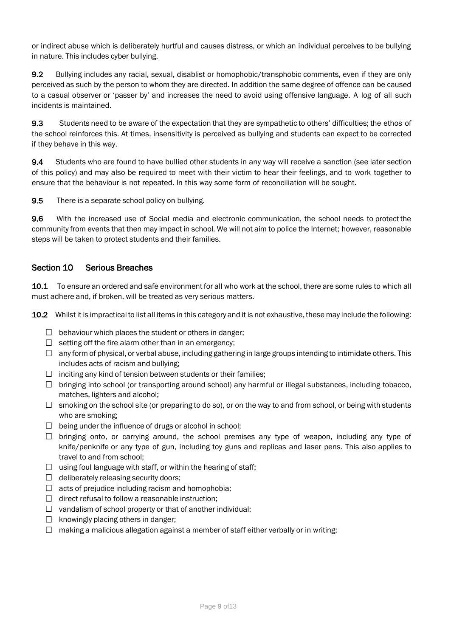or indirect abuse which is deliberately hurtful and causes distress, or which an individual perceives to be bullying in nature. This includes cyber bullying.

9.2 Bullying includes any racial, sexual, disablist or homophobic/transphobic comments, even if they are only perceived as such by the person to whom they are directed. In addition the same degree of offence can be caused to a casual observer or 'passer by' and increases the need to avoid using offensive language. A log of all such incidents is maintained.

9.3 Students need to be aware of the expectation that they are sympathetic to others' difficulties; the ethos of the school reinforces this. At times, insensitivity is perceived as bullying and students can expect to be corrected if they behave in this way.

9.4 Students who are found to have bullied other students in any way will receive a sanction (see later section of this policy) and may also be required to meet with their victim to hear their feelings, and to work together to ensure that the behaviour is not repeated. In this way some form of reconciliation will be sought.

9.5 There is a separate school policy on bullying.

9.6 With the increased use of Social media and electronic communication, the school needs to protect the community from events that then may impact in school. We will not aim to police the Internet; however, reasonable steps will be taken to protect students and their families.

## Section 10 Serious Breaches

10.1 To ensure an ordered and safe environment for all who work at the school, there are some rules to which all must adhere and, if broken, will be treated as very serious matters.

10.2 Whilst it is impractical to list all items in this category and it is not exhaustive, these may include the following:

- $\Box$  behaviour which places the student or others in danger;
- $\Box$  setting off the fire alarm other than in an emergency;
- $\Box$  any form of physical, or verbal abuse, including gathering in large groups intending to intimidate others. This includes acts of racism and bullying;
- $\Box$  inciting any kind of tension between students or their families;
- $\Box$  bringing into school (or transporting around school) any harmful or illegal substances, including tobacco, matches, lighters and alcohol;
- $\Box$  smoking on the school site (or preparing to do so), or on the way to and from school, or being with students who are smoking;
- $\Box$  being under the influence of drugs or alcohol in school;
- $\Box$  bringing onto, or carrying around, the school premises any type of weapon, including any type of knife/penknife or any type of gun, including toy guns and replicas and laser pens. This also applies to travel to and from school;
- $\Box$  using foul language with staff, or within the hearing of staff;
- $\Box$  deliberately releasing security doors;
- $\Box$  acts of prejudice including racism and homophobia;
- $\Box$  direct refusal to follow a reasonable instruction;
- $\Box$  vandalism of school property or that of another individual;
- $\Box$  knowingly placing others in danger;
- $\Box$  making a malicious allegation against a member of staff either verbally or in writing;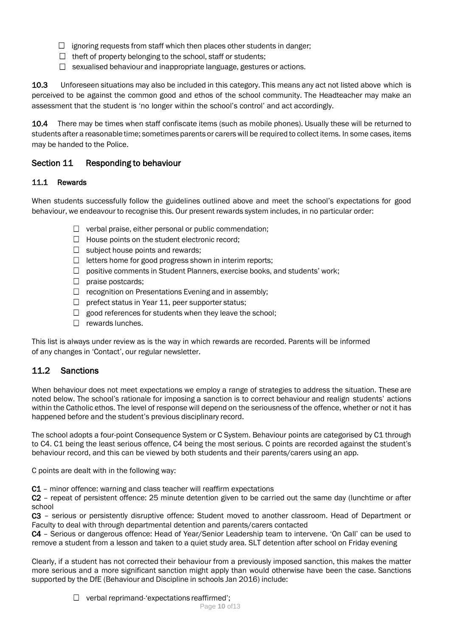- $\Box$  ignoring requests from staff which then places other students in danger;
- $\Box$  theft of property belonging to the school, staff or students;
- $\Box$  sexualised behaviour and inappropriate language, gestures or actions.

10.3 Unforeseen situations may also be included in this category. This means any act not listed above which is perceived to be against the common good and ethos of the school community. The Headteacher may make an assessment that the student is 'no longer within the school's control' and act accordingly.

10.4 There may be times when staff confiscate items (such as mobile phones). Usually these will be returned to students after a reasonable time; sometimes parents or carerswill be required to collect items. In some cases, items may be handed to the Police.

# Section 11 Responding to behaviour

## 11.1 Rewards

When students successfully follow the guidelines outlined above and meet the school's expectations for good behaviour, we endeavour to recognise this. Our present rewards system includes, in no particular order:

- $\Box$  verbal praise, either personal or public commendation;
- $\Box$  House points on the student electronic record;
- $\Box$  subject house points and rewards;
- $\Box$  letters home for good progress shown in interim reports;
- $\Box$  positive comments in Student Planners, exercise books, and students' work;
- $\Box$  praise postcards;
- $\Box$  recognition on Presentations Evening and in assembly;
- $\Box$  prefect status in Year 11, peer supporter status;
- $\Box$  good references for students when they leave the school;
- $\Box$  rewards lunches.

This list is always under review as is the way in which rewards are recorded. Parents will be informed of any changes in 'Contact', our regular newsletter.

# 11.2 Sanctions

When behaviour does not meet expectations we employ a range of strategies to address the situation. These are noted below. The school's rationale for imposing a sanction is to correct behaviour and realign students' actions within the Catholic ethos. The level of response will depend on the seriousness of the offence, whether or not it has happened before and the student's previous disciplinary record.

The school adopts a four-point Consequence System or C System. Behaviour points are categorised by C1 through to C4. C1 being the least serious offence, C4 being the most serious. C points are recorded against the student's behaviour record, and this can be viewed by both students and their parents/carers using an app.

C points are dealt with in the following way:

C1 - minor offence: warning and class teacher will reaffirm expectations

C2 – repeat of persistent offence: 25 minute detention given to be carried out the same day (lunchtime or after school

C3 – serious or persistently disruptive offence: Student moved to another classroom. Head of Department or Faculty to deal with through departmental detention and parents/carers contacted

C4 – Serious or dangerous offence: Head of Year/Senior Leadership team to intervene. 'On Call' can be used to remove a student from a lesson and taken to a quiet study area. SLT detention after school on Friday evening

Clearly, if a student has not corrected their behaviour from a previously imposed sanction, this makes the matter more serious and a more significant sanction might apply than would otherwise have been the case. Sanctions supported by the DfE (Behaviour and Discipline in schools Jan 2016) include:

 $\Box$  verbal reprimand-'expectations reaffirmed';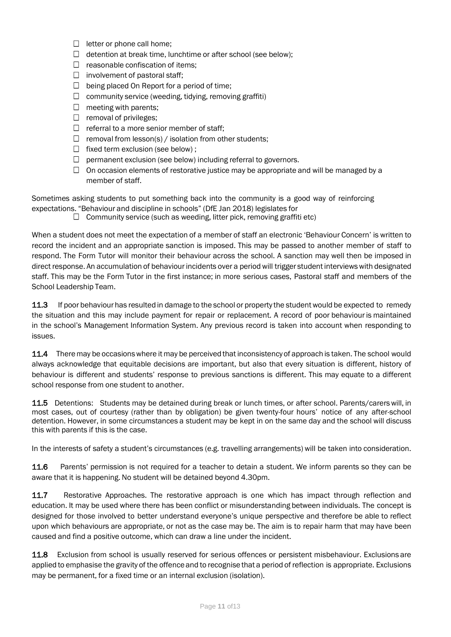- $\Box$  letter or phone call home;
- $\Box$  detention at break time, lunchtime or after school (see below);
- $\Box$  reasonable confiscation of items;
- $\Box$  involvement of pastoral staff;
- $\Box$  being placed On Report for a period of time;
- $\Box$  community service (weeding, tidying, removing graffiti)
- $\Box$  meeting with parents;
- $\Box$  removal of privileges;
- $\Box$  referral to a more senior member of staff;
- $\Box$  removal from lesson(s) / isolation from other students;
- $\Box$  fixed term exclusion (see below);
- $\Box$  permanent exclusion (see below) including referral to governors.
- $\Box$  On occasion elements of restorative justice may be appropriate and will be managed by a member of staff.

Sometimes asking students to put something back into the community is a good way of reinforcing expectations. "Behaviour and discipline in schools" (DfE Jan 2018) legislates for

 $\Box$  Community service (such as weeding, litter pick, removing graffiti etc)

When a student does not meet the expectation of a member of staff an electronic 'Behaviour Concern' is written to record the incident and an appropriate sanction is imposed. This may be passed to another member of staff to respond. The Form Tutor will monitor their behaviour across the school. A sanction may well then be imposed in direct response. An accumulation of behaviour incidents over a period will trigger student interviews with designated staff. This may be the Form Tutor in the first instance; in more serious cases, Pastoral staff and members of the School Leadership Team.

11.3 If poor behaviour has resulted in damage to the school or property the student would be expected to remedy the situation and this may include payment for repair or replacement. A record of poor behaviouris maintained in the school's Management Information System. Any previous record is taken into account when responding to issues.

11.4 There may be occasionswhere it may be perceivedthat inconsistency of approach is taken. The school would always acknowledge that equitable decisions are important, but also that every situation is different, history of behaviour is different and students' response to previous sanctions is different. This may equate to a different school response from one student to another.

11.5 Detentions: Students may be detained during break or lunch times, or after school. Parents/carers will, in most cases, out of courtesy (rather than by obligation) be given twenty-four hours' notice of any after-school detention. However, in some circumstances a student may be kept in on the same day and the school will discuss this with parents if this is the case.

In the interests of safety a student's circumstances (e.g. travelling arrangements) will be taken into consideration.

11.6 Parents' permission is not required for a teacher to detain a student. We inform parents so they can be aware that it is happening. No student will be detained beyond 4.30pm.

11.7 Restorative Approaches. The restorative approach is one which has impact through reflection and education. It may be used where there has been conflict or misunderstanding between individuals. The concept is designed for those involved to better understand everyone's unique perspective and therefore be able to reflect upon which behaviours are appropriate, or not as the case may be. The aim is to repair harm that may have been caused and find a positive outcome, which can draw a line under the incident.

11.8 Exclusion from school is usually reserved for serious offences or persistent misbehaviour. Exclusions are applied to emphasise the gravity of the offence and to recognise that a period of reflection is appropriate. Exclusions may be permanent, for a fixed time or an internal exclusion (isolation).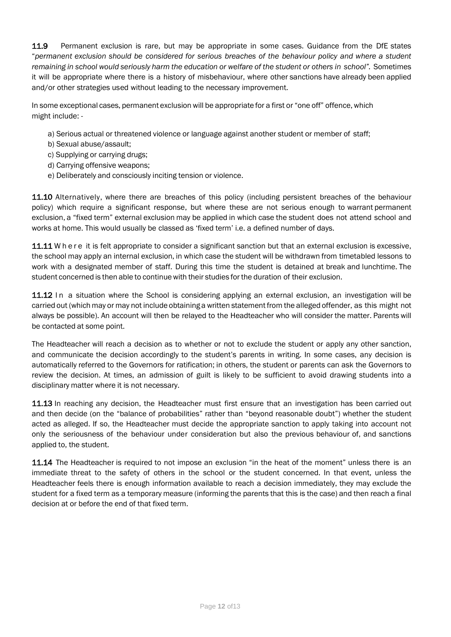11.9 Permanent exclusion is rare, but may be appropriate in some cases. Guidance from the DfE states "*permanent exclusion should be considered for serious breaches of the behaviour policy and where a student* remaining in school would seriously harm the education or welfare of the student or others in school". Sometimes it will be appropriate where there is a history of misbehaviour, where other sanctions have already been applied and/or other strategies used without leading to the necessary improvement.

In some exceptional cases, permanent exclusion will be appropriate for a first or "one off" offence, which might include: -

- a) Serious actual or threatened violence or language against another student or member of staff;
- b) Sexual abuse/assault;
- c) Supplying or carrying drugs;
- d) Carrying offensive weapons;
- e) Deliberately and consciously inciting tension or violence.

11.10 Alternatively, where there are breaches of this policy (including persistent breaches of the behaviour policy) which require a significant response, but where these are not serious enough to warrant permanent exclusion, a "fixed term" external exclusion may be applied in which case the student does not attend school and works at home. This would usually be classed as 'fixed term' i.e. a defined number of days.

11.11 W h e r e it is felt appropriate to consider a significant sanction but that an external exclusion is excessive, the school may apply an internal exclusion, in which case the student will be withdrawn from timetabled lessons to work with a designated member of staff. During this time the student is detained at break and lunchtime. The student concerned is then able to continue with their studies for the duration of their exclusion.

11.12 In a situation where the School is considering applying an external exclusion, an investigation will be carried out (which may or may not include obtaining a written statementfrom the alleged offender, as this might not always be possible). An account will then be relayed to the Headteacher who will consider the matter. Parents will be contacted at some point.

The Headteacher will reach a decision as to whether or not to exclude the student or apply any other sanction, and communicate the decision accordingly to the student's parents in writing. In some cases, any decision is automatically referred to the Governors for ratification; in others, the student or parents can ask the Governors to review the decision. At times, an admission of guilt is likely to be sufficient to avoid drawing students into a disciplinary matter where it is not necessary.

11.13 In reaching any decision, the Headteacher must first ensure that an investigation has been carried out and then decide (on the "balance of probabilities" rather than "beyond reasonable doubt") whether the student acted as alleged. If so, the Headteacher must decide the appropriate sanction to apply taking into account not only the seriousness of the behaviour under consideration but also the previous behaviour of, and sanctions applied to, the student.

11.14 The Headteacher is required to not impose an exclusion "in the heat of the moment" unless there is an immediate threat to the safety of others in the school or the student concerned. In that event, unless the Headteacher feels there is enough information available to reach a decision immediately, they may exclude the student for a fixed term as a temporary measure (informing the parents that this is the case) and then reach a final decision at or before the end of that fixed term.